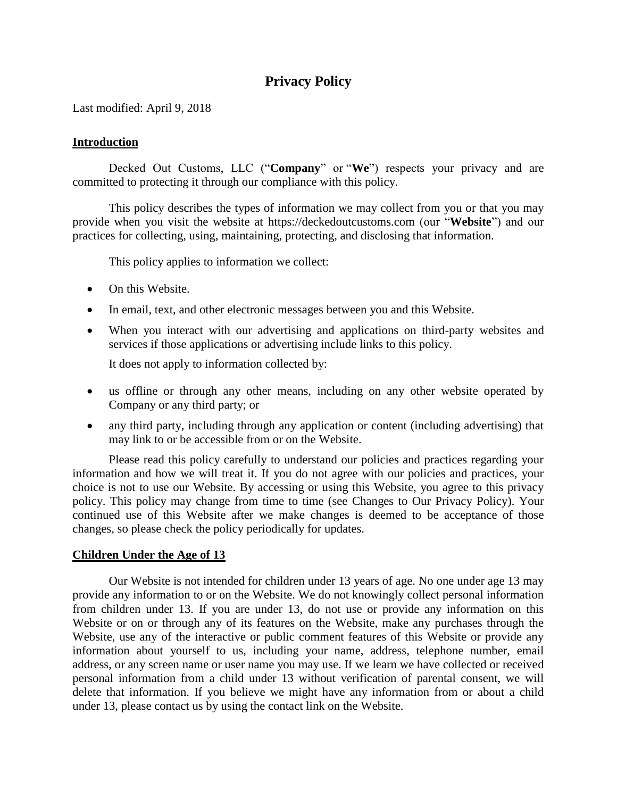# **Privacy Policy**

Last modified: April 9, 2018

# **Introduction**

Decked Out Customs, LLC ("**Company**" or "**We**") respects your privacy and are committed to protecting it through our compliance with this policy.

This policy describes the types of information we may collect from you or that you may provide when you visit the website at https://deckedoutcustoms.com (our "**Website**") and our practices for collecting, using, maintaining, protecting, and disclosing that information.

This policy applies to information we collect:

- On this Website.
- In email, text, and other electronic messages between you and this Website.
- When you interact with our advertising and applications on third-party websites and services if those applications or advertising include links to this policy.

It does not apply to information collected by:

- us offline or through any other means, including on any other website operated by Company or any third party; or
- any third party, including through any application or content (including advertising) that may link to or be accessible from or on the Website.

Please read this policy carefully to understand our policies and practices regarding your information and how we will treat it. If you do not agree with our policies and practices, your choice is not to use our Website. By accessing or using this Website, you agree to this privacy policy. This policy may change from time to time (see [Changes to Our Privacy Policy\)](#page-5-0). Your continued use of this Website after we make changes is deemed to be acceptance of those changes, so please check the policy periodically for updates.

# **Children Under the Age of 13**

Our Website is not intended for children under 13 years of age. No one under age 13 may provide any information to or on the Website. We do not knowingly collect personal information from children under 13. If you are under 13, do not use or provide any information on this Website or on or through any of its features on the Website, make any purchases through the Website, use any of the interactive or public comment features of this Website or provide any information about yourself to us, including your name, address, telephone number, email address, or any screen name or user name you may use. If we learn we have collected or received personal information from a child under 13 without verification of parental consent, we will delete that information. If you believe we might have any information from or about a child under 13, please contact us by using the contact link on the Website.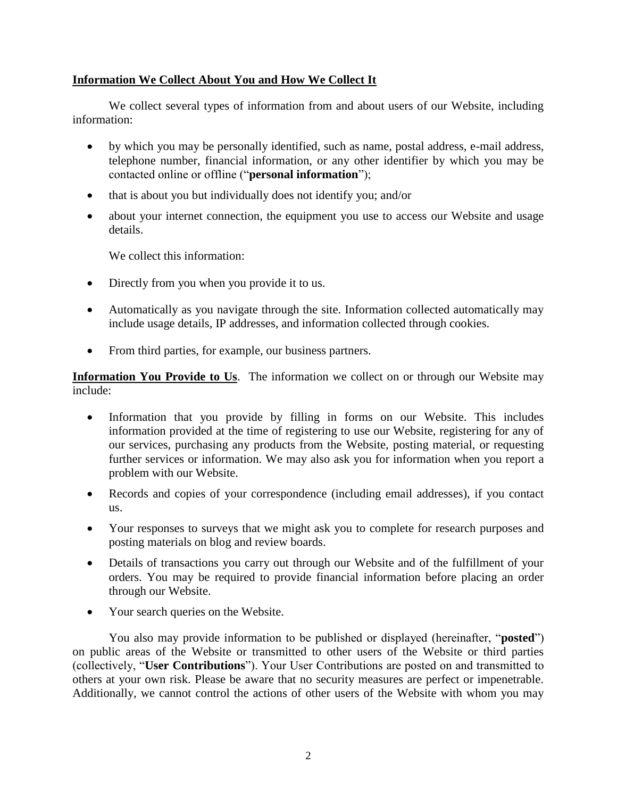# **Information We Collect About You and How We Collect It**

We collect several types of information from and about users of our Website, including information:

- by which you may be personally identified, such as name, postal address, e-mail address, telephone number, financial information, or any other identifier by which you may be contacted online or offline ("**personal information**");
- that is about you but individually does not identify you; and/or
- about your internet connection, the equipment you use to access our Website and usage details.

We collect this information:

- Directly from you when you provide it to us.
- Automatically as you navigate through the site. Information collected automatically may include usage details, IP addresses, and information collected through cookies.
- From third parties, for example, our business partners.

**Information You Provide to Us**. The information we collect on or through our Website may include:

- Information that you provide by filling in forms on our Website. This includes information provided at the time of registering to use our Website, registering for any of our services, purchasing any products from the Website, posting material, or requesting further services or information. We may also ask you for information when you report a problem with our Website.
- Records and copies of your correspondence (including email addresses), if you contact us.
- Your responses to surveys that we might ask you to complete for research purposes and posting materials on blog and review boards.
- Details of transactions you carry out through our Website and of the fulfillment of your orders. You may be required to provide financial information before placing an order through our Website.
- Your search queries on the Website.

You also may provide information to be published or displayed (hereinafter, "**posted**") on public areas of the Website or transmitted to other users of the Website or third parties (collectively, "**User Contributions**"). Your User Contributions are posted on and transmitted to others at your own risk. Please be aware that no security measures are perfect or impenetrable. Additionally, we cannot control the actions of other users of the Website with whom you may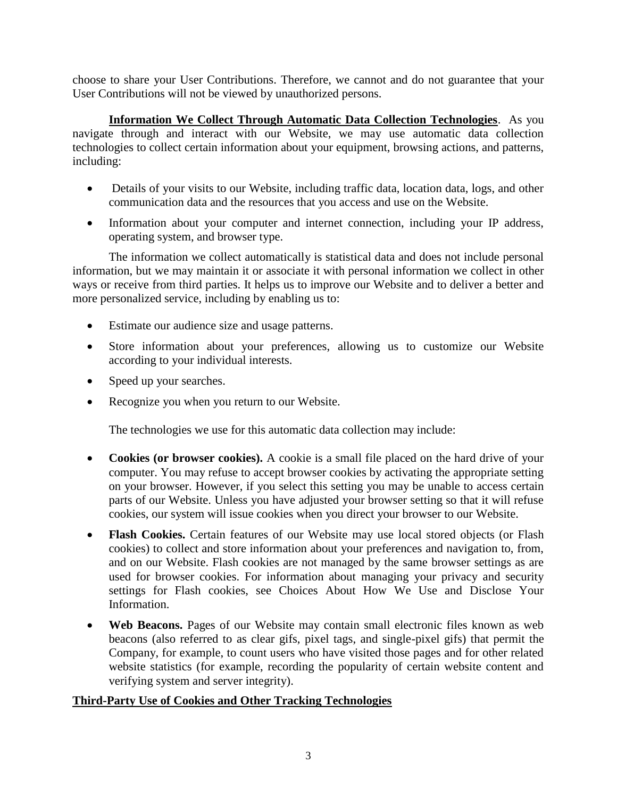choose to share your User Contributions. Therefore, we cannot and do not guarantee that your User Contributions will not be viewed by unauthorized persons.

**Information We Collect Through Automatic Data Collection Technologies**. As you navigate through and interact with our Website, we may use automatic data collection technologies to collect certain information about your equipment, browsing actions, and patterns, including:

- Details of your visits to our Website, including traffic data, location data, logs, and other communication data and the resources that you access and use on the Website.
- Information about your computer and internet connection, including your IP address, operating system, and browser type.

The information we collect automatically is statistical data and does not include personal information, but we may maintain it or associate it with personal information we collect in other ways or receive from third parties. It helps us to improve our Website and to deliver a better and more personalized service, including by enabling us to:

- Estimate our audience size and usage patterns.
- Store information about your preferences, allowing us to customize our Website according to your individual interests.
- Speed up your searches.
- Recognize you when you return to our Website.

The technologies we use for this automatic data collection may include:

- **Cookies (or browser cookies).** A cookie is a small file placed on the hard drive of your computer. You may refuse to accept browser cookies by activating the appropriate setting on your browser. However, if you select this setting you may be unable to access certain parts of our Website. Unless you have adjusted your browser setting so that it will refuse cookies, our system will issue cookies when you direct your browser to our Website.
- **Flash Cookies.** Certain features of our Website may use local stored objects (or Flash cookies) to collect and store information about your preferences and navigation to, from, and on our Website. Flash cookies are not managed by the same browser settings as are used for browser cookies. For information about managing your privacy and security settings for Flash cookies, see [Choices About How We Use and Disclose Your](#page-4-0)  [Information.](#page-4-0)
- Web Beacons. Pages of our Website may contain small electronic files known as web beacons (also referred to as clear gifs, pixel tags, and single-pixel gifs) that permit the Company, for example, to count users who have visited those pages and for other related website statistics (for example, recording the popularity of certain website content and verifying system and server integrity).

# **Third-Party Use of Cookies and Other Tracking Technologies**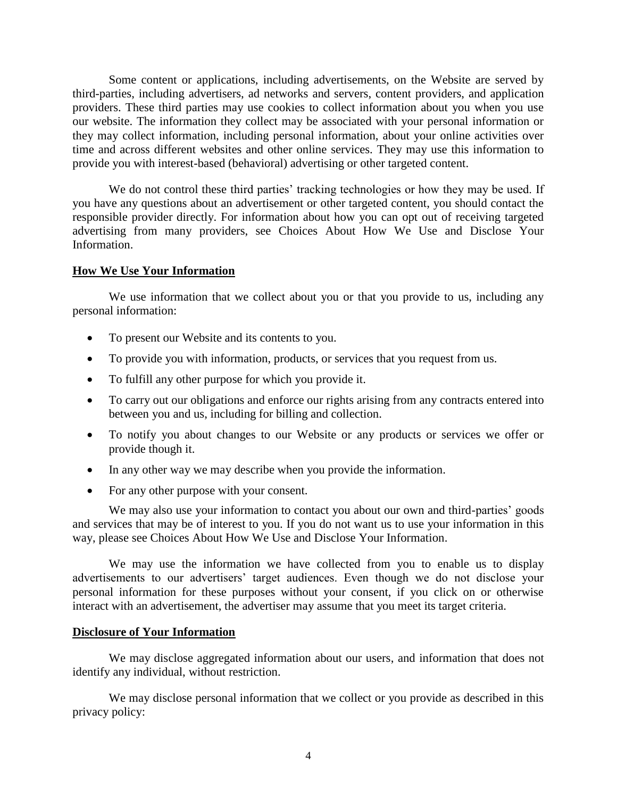Some content or applications, including advertisements, on the Website are served by third-parties, including advertisers, ad networks and servers, content providers, and application providers. These third parties may use cookies to collect information about you when you use our website. The information they collect may be associated with your personal information or they may collect information, including personal information, about your online activities over time and across different websites and other online services. They may use this information to provide you with interest-based (behavioral) advertising or other targeted content.

We do not control these third parties' tracking technologies or how they may be used. If you have any questions about an advertisement or other targeted content, you should contact the responsible provider directly. For information about how you can opt out of receiving targeted advertising from many providers, see [Choices About How We Use and Disclose Your](#page-4-0)  [Information.](#page-4-0)

# **How We Use Your Information**

We use information that we collect about you or that you provide to us, including any personal information:

- To present our Website and its contents to you.
- To provide you with information, products, or services that you request from us.
- To fulfill any other purpose for which you provide it.
- To carry out our obligations and enforce our rights arising from any contracts entered into between you and us, including for billing and collection.
- To notify you about changes to our Website or any products or services we offer or provide though it.
- In any other way we may describe when you provide the information.
- For any other purpose with your consent.

We may also use your information to contact you about our own and third-parties' goods and services that may be of interest to you. If you do not want us to use your information in this way, please see [Choices About How We Use and Disclose Your Information.](#page-4-0)

We may use the information we have collected from you to enable us to display advertisements to our advertisers' target audiences. Even though we do not disclose your personal information for these purposes without your consent, if you click on or otherwise interact with an advertisement, the advertiser may assume that you meet its target criteria.

### **Disclosure of Your Information**

We may disclose aggregated information about our users, and information that does not identify any individual, without restriction.

We may disclose personal information that we collect or you provide as described in this privacy policy: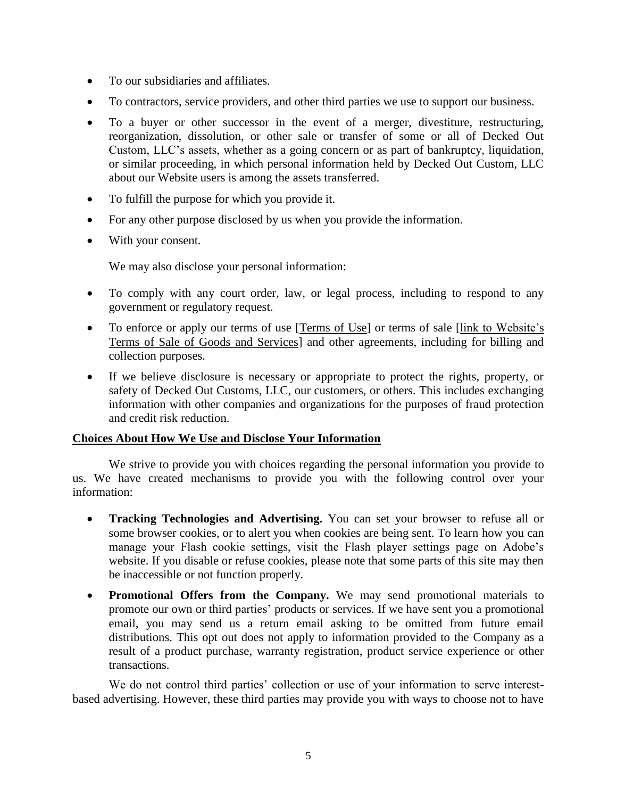- To our subsidiaries and affiliates.
- To contractors, service providers, and other third parties we use to support our business.
- To a buyer or other successor in the event of a merger, divestiture, restructuring, reorganization, dissolution, or other sale or transfer of some or all of Decked Out Custom, LLC's assets, whether as a going concern or as part of bankruptcy, liquidation, or similar proceeding, in which personal information held by Decked Out Custom, LLC about our Website users is among the assets transferred.
- To fulfill the purpose for which you provide it.
- For any other purpose disclosed by us when you provide the information.
- With your consent.

We may also disclose your personal information:

- To comply with any court order, law, or legal process, including to respond to any government or regulatory request.
- To enforce or apply our terms of use [\[Terms of Use\]](Decked%20Out%20Customs/Terms%20of%20Use%20-%20Decked%20Out%20Customs,%20LLC.pdf) or terms of sale [\[link to Website's](Decked%20Out%20Customs/Terms%20of%20Use%20-%20Decked%20Out%20Customs,%20LLC.pdf)  [Terms of Sale of Goods and Services\]](Decked%20Out%20Customs/Terms%20of%20Use%20-%20Decked%20Out%20Customs,%20LLC.pdf) and other agreements, including for billing and collection purposes.
- If we believe disclosure is necessary or appropriate to protect the rights, property, or safety of Decked Out Customs, LLC, our customers, or others. This includes exchanging information with other companies and organizations for the purposes of fraud protection and credit risk reduction.

# <span id="page-4-0"></span>**Choices About How We Use and Disclose Your Information**

We strive to provide you with choices regarding the personal information you provide to us. We have created mechanisms to provide you with the following control over your information:

- **Tracking Technologies and Advertising.** You can set your browser to refuse all or some browser cookies, or to alert you when cookies are being sent. To learn how you can manage your Flash cookie settings, visit the Flash player settings page on Adobe's website. If you disable or refuse cookies, please note that some parts of this site may then be inaccessible or not function properly.
- **Promotional Offers from the Company.** We may send promotional materials to promote our own or third parties' products or services. If we have sent you a promotional email, you may send us a return email asking to be omitted from future email distributions. This opt out does not apply to information provided to the Company as a result of a product purchase, warranty registration, product service experience or other transactions.

We do not control third parties' collection or use of your information to serve interestbased advertising. However, these third parties may provide you with ways to choose not to have